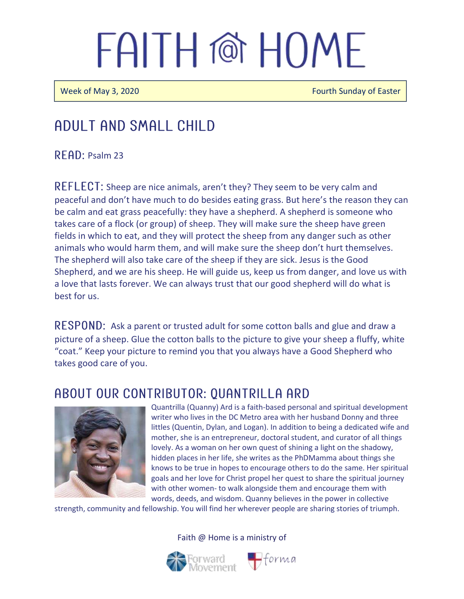Week of May 3, 2020 **Fourth Sunday of Easter** Fourth Sunday of Easter

### Adult and Small Child

 $R$  FAD: Psalm 23

 $REFLECT$ : Sheep are nice animals, aren't they? They seem to be very calm and peaceful and don't have much to do besides eating grass. But here's the reason they can be calm and eat grass peacefully: they have a shepherd. A shepherd is someone who takes care of a flock (or group) of sheep. They will make sure the sheep have green fields in which to eat, and they will protect the sheep from any danger such as other animals who would harm them, and will make sure the sheep don't hurt themselves. The shepherd will also take care of the sheep if they are sick. Jesus is the Good Shepherd, and we are his sheep. He will guide us, keep us from danger, and love us with a love that lasts forever. We can always trust that our good shepherd will do what is best for us.

RESPOND: Ask a parent or trusted adult for some cotton balls and glue and draw a picture of a sheep. Glue the cotton balls to the picture to give your sheep a fluffy, white "coat." Keep your picture to remind you that you always have a Good Shepherd who takes good care of you.

#### ABOUT OUR CONTRIBUTOR: OUANTRILLA ARD



Quantrilla (Quanny) Ard is a faith-based personal and spiritual development writer who lives in the DC Metro area with her husband Donny and three littles (Quentin, Dylan, and Logan). In addition to being a dedicated wife and mother, she is an entrepreneur, doctoral student, and curator of all things lovely. As a woman on her own quest of shining a light on the shadowy, hidden places in her life, she writes as the PhDMamma about things she knows to be true in hopes to encourage others to do the same. Her spiritual goals and her love for Christ propel her quest to share the spiritual journey with other women- to walk alongside them and encourage them with words, deeds, and wisdom. Quanny believes in the power in collective

strength, community and fellowship. You will find her wherever people are sharing stories of triumph.

Faith @ Home is a ministry of

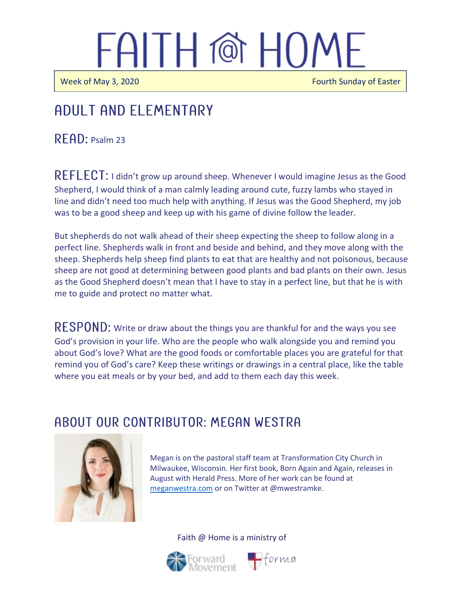$\overline{\phantom{a}}$ 

j

Week of May 3, 2020 **Fourth Sunday of Easter** Fourth Sunday of Easter

# Adult and elementary

 $R$  FAD: Psalm 23

REFLECT: I didn't grow up around sheep. Whenever I would imagine Jesus as the Good Shepherd, I would think of a man calmly leading around cute, fuzzy lambs who stayed in line and didn't need too much help with anything. If Jesus was the Good Shepherd, my job was to be a good sheep and keep up with his game of divine follow the leader.

But shepherds do not walk ahead of their sheep expecting the sheep to follow along in a perfect line. Shepherds walk in front and beside and behind, and they move along with the sheep. Shepherds help sheep find plants to eat that are healthy and not poisonous, because sheep are not good at determining between good plants and bad plants on their own. Jesus as the Good Shepherd doesn't mean that I have to stay in a perfect line, but that he is with me to guide and protect no matter what.

 **Write or draw about the things you are thankful for and the ways you see** God's provision in your life. Who are the people who walk alongside you and remind you about God's love? What are the good foods or comfortable places you are grateful for that remind you of God's care? Keep these writings or drawings in a central place, like the table where you eat meals or by your bed, and add to them each day this week.

#### ABOUT OUR CONTRIBUTOR: MEGAN WESTRA



Megan is on the pastoral staff team at Transformation City Church in Milwaukee, Wisconsin. Her first book, Born Again and Again, releases in August with Herald Press. More of her work can be found at [meganwestra.com](https://meganwestra.com/) or on Twitter at @mwestramke.





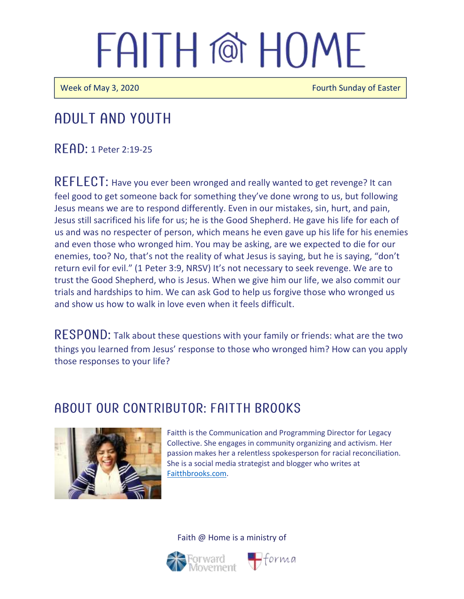Week of May 3, 2020 **Fourth Sunday of Easter** Fourth Sunday of Easter

## Adult and youth

 $R$  $F$  $A$  $D$ : 1 Peter 2:19-25

REFLECT: Have you ever been wronged and really wanted to get revenge? It can feel good to get someone back for something they've done wrong to us, but following Jesus means we are to respond differently. Even in our mistakes, sin, hurt, and pain, Jesus still sacrificed his life for us; he is the Good Shepherd. He gave his life for each of us and was no respecter of person, which means he even gave up his life for his enemies and even those who wronged him. You may be asking, are we expected to die for our enemies, too? No, that's not the reality of what Jesus is saying, but he is saying, "don't return evil for evil." (1 Peter 3:9, NRSV) It's not necessary to seek revenge. We are to trust the Good Shepherd, who is Jesus. When we give him our life, we also commit our trials and hardships to him. We can ask God to help us forgive those who wronged us and show us how to walk in love even when it feels difficult.

RESPOND: Talk about these questions with your family or friends: what are the two things you learned from Jesus' response to those who wronged him? How can you apply those responses to your life?

### A BOUT OUR CONTRIBUTOR: FAITTH BROOKS



Faitth is the Communication and Programming Director for Legacy Collective. She engages in community organizing and activism. Her passion makes her a relentless spokesperson for racial reconciliation. She is a social media strategist and blogger who writes at [Faitthbrooks.com.](https://faitthbrooks.com/)

#### Faith @ Home is a ministry of